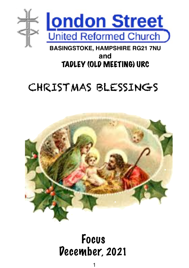

# **and**  TADLEY (OLD MEETING) URC

# CHRISTMAS BLESSINGS



# Focus December, 2021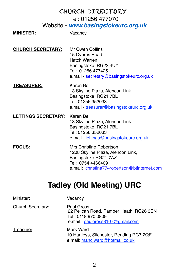|                            | CHURCH DIRECTORY                                                                                                                                          |
|----------------------------|-----------------------------------------------------------------------------------------------------------------------------------------------------------|
|                            | Tel: 01256 477070                                                                                                                                         |
|                            | Website - www.basingstokeurc.org.uk                                                                                                                       |
| <b>MINISTER:</b>           | Vacancy                                                                                                                                                   |
| <b>CHURCH SECRETARY:</b>   | Mr Owen Collins<br>15 Cyprus Road<br>Hatch Warren<br>Basingstoke RG22 4UY<br>Tel: 01256 477425<br>e.mail - secretary@basingstokeurc.org.uk                |
| <b>TREASURER:</b>          | Karen Bell<br>13 Skyline Plaza, Alencon Link<br>Basingstoke RG21 7BL<br>Tel: 01256 352033<br>e.mail - treasurer@basingstokeurc.org.uk                     |
| <b>LETTINGS SECRETARY:</b> | Karen Bell<br>13 Skyline Plaza, Alencon Link<br>Basingstoke RG21 7BL<br>Tel: 01256 352033<br>e.mail - lettings@basingstokeurc.org.uk                      |
| <b>FOCUS:</b>              | Mrs Christine Robertson<br>1208 Skyline Plaza, Alencon Link,<br>Basingstoke RG21 7AZ<br>Tel: 0754 4466409<br>e.mail: christina774robertson@btinternet.com |

# **Tadley (Old Meeting) URC**

| Minister:                | Vacancv                                                                                                       |
|--------------------------|---------------------------------------------------------------------------------------------------------------|
| <b>Church Secretary:</b> | Paul Gross<br>22 Pelican Road, Pamber Heath RG26 3EN<br>Tel: 0118 970 0809<br>e.mail: paulgross3107@gmail.com |
| Treasurer:               | Mark Ward<br>10 Hartleys, Silchester, Reading RG7 2QE<br>e.mail: mandjward@hotmail.co.uk                      |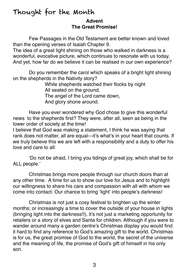#### Thought for the Month **Advent The Great Promise!**

Few Passages in the Old Testament are better known and loved than the opening verses of Isaiah Chapter 9.

The idea of a great light shining on those who walked in darkness is a wonderful, evocative picture, which continues to resonate with us today. And yet, how far do we believe it can be realised in our own experience?

Do you remember the carol which speaks of a bright light shining on the shepherds in the Nativity story?

> While shepherds watched their flocks by night All seated on the ground, The angel of the Lord came down, And glory shone around.

Have you ever wondered why God chose to give this wonderful news to the shepherds first? They were, after all, seen as being in the lower order of society at the time!

I believe that God was making a statement, I think he was saying that rank does not matter, all are equal---it's what's in your heart that counts. If we truly believe this we are left with a responsibility and a duty to offer his love and care to all:

'Do not be afraid, I bring you tidings of great joy, which shall be for ALL people.'

Christmas brings more people through our church doors than at any other time. A time for us to show our love for Jesus and to highlight our willingness to share his care and compassion with all with whom we come into contact. Our chance to bring 'light' into people's darkness!

Christmas is not just a cosy festival to brighten up the winter months; or increasingly a time to cover the outside of your house in lights (bringing light into the darkness!!), it's not just a marketing opportunity for retailers or a story of elves and Santa for children. Although if you were to wander around many a garden centre's Christmas display you would find it hard to find any reference to God's amazing gift to the world. Christmas is for us, the great promise of God to the world, the secret of the universe and the meaning of life, the promise of God's gift of himself in his only son.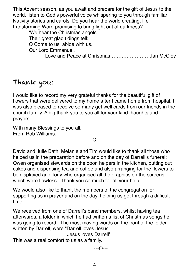This Advent season, as you await and prepare for the gift of Jesus to the world, listen to God's powerful voice whispering to you through familiar Nativity stories and carols. Do you hear the world creating, life transforming Word promising to bring light out of darkness?

'We hear the Christmas angels

Their great glad tidings tell:

O Come to us, abide with us.

Our Lord Emmanuel.

Love and Peace at Christmas.............................lan McClov

### Thank you:

I would like to record my very grateful thanks for the beautiful gift of flowers that were delivered to my home after I came home from hospital. I was also pleased to receive so many get well cards from our friends in the church family. A big thank you to you all for your kind thoughts and prayers.

With many Blessings to you all, From Rob Williams.

---O---

David and Julie Bath, Melanie and Tim would like to thank all those who helped us in the preparation before and on the day of Darrell's funeral; Owen organised stewards on the door, helpers in the kitchen, putting out cakes and dispensing tea and coffee and also arranging for the flowers to be displayed and Tony who organised all the graphics on the screens which were flawless. Thank you so much for all your help.

We would also like to thank the members of the congregation for supporting us in prayer and on the day, helping us get through a difficult time.

We received from one of Darrell's band members, whilst having tea afterwards, a folder in which he had written a list of Christmas songs he was going to record. The most moving words on the front of the folder, written by Darrell, were "Darrell loves Jesus

Jesus loves Darrell'

This was a real comfort to us as a family.

---O---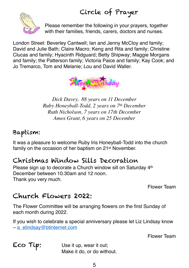# Circle of Prayer



Please remember the following in your prayers, together with their families, friends, carers, doctors and nurses.

London Street: Beverley Cantwell; Ian and Jenny McCloy and family; David and Julie Bath; Claire Macro; Keng and Rita and family; Christine Clucas and family; Hyacinth Ridguard; Betty Shipway; Maggie Morgans and family; the Patterson family; Victoria Paice and family; Kay Cook; and Jo Tremarco, Tom and Melanie; Lou and David Waller.



*Dick Davey, 88 years on 11 December Ruby Honeyball-Todd, 2 years on 7th December Ruth Nicholson, 7 years on 17th December Amos Grant, 6 years on 25 December* 

## Baptism:

It was a pleasure to welcome Ruby Iris Honeyball-Todd into the church family on the occasion of her baptism on 21st November.

### Christmas Window Sills Decoration

Please sign up to decorate a Church window sill on Saturday 4th December between 10.30am and 12 noon. Thank you very much.

Flower Team

### Church Flowers 2022:

The Flower Committee will be arranging flowers on the first Sunday of each month during 2022.

If you wish to celebrate a special anniversary please let Liz Lindsay know – [a\\_elindsay@btinternet.com](mailto:a_elindsay@btinternet.com)

Flower Team

Eco Tip: Use it up, wear it out; Make it do, or do without.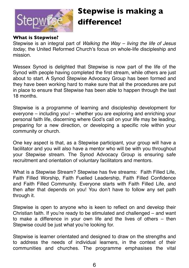

# **Stepwise is making a difference!**

#### **What is Stepwise?**

Stepwise is an integral part of *Walking the Way – living the life of Jesus today*, the United Reformed Church's focus on whole-life discipleship and mission.

Wessex Synod is delighted that Stepwise is now part of the life of the Synod with people having completed the first stream, while others are just about to start. A Synod Stepwise Advocacy Group has been formed and they have been working hard to make sure that all the procedures are put in place to ensure that Stepwise has been able to happen through the last 18 months.

Stepwise is a programme of learning and discipleship development for everyone – including you! – whether you are exploring and enriching your personal faith life, discerning where God's call on your life may be leading, preparing for a new direction, or developing a specific role within your community or church.

One key aspect is that, as a Stepwise participant, your group will have a facilitator and you will also have a mentor who will be with you throughout your Stepwise stream. The Synod Advocacy Group is ensuring safe recruitment and orientation of voluntary facilitators and mentors.

What is a Stepwise Stream? Stepwise has five streams: Faith Filled Life, Faith Filled Worship, Faith Fuelled Leadership, Faith Filled Confidence and Faith Filled Community. Everyone starts with Faith Filled Life, and then after that depends on you! You don't have to follow any set path through it.

Stepwise is open to anyone who is keen to reflect on and develop their Christian faith. If you're ready to be stimulated and challenged – and want to make a difference in your own life and the lives of others – then Stepwise could be just what you're looking for.

Stepwise is learner orientated and designed to draw on the strengths and to address the needs of individual learners, in the context of their communities and churches. The programme emphasises the vital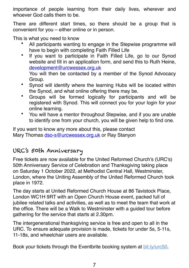importance of people learning from their daily lives, wherever and whoever God calls them to be.

There are different start times, so there should be a group that is convenient for you – either online or in person.

This is what you need to know

- All participants wanting to engage in the Stepwise programme will have to begin with completing Faith Filled Life
- If you want to participate in Faith Filled Life, go to our Synod website and fill in an application form, and send this to Ruth Heine, [development@urcwessex.org.uk](mailto:development@urcwessex.org.uk) You will then be contacted by a member of the Synod Advocacy Group.
- Synod will identify where the learning Hubs will be located within the Synod, and what online offering there may be.
- Groups will be formed logically for participants and will be registered with Synod. This will connect you for your login for your online learning.
- You will have a mentor throughout Stepwise, and if you are unable to identify one from your church, you will be given help to find one.

If you want to know any more about this, please contact Mary Thomas [dso-s@urcwessex.org.uk](mailto:dso-s@urcwessex.org.uk) or Ray Stanyon

#### URC's 50th Anniversary

Free tickets are now available for the United Reformed Church's (URC's) 50th Anniversary Service of Celebration and Thanksgiving taking place on Saturday 1 October 2022, at Methodist Central Hall, Westminster, London, where the Uniting Assembly of the United Reformed Church took place in 1972.

The day starts at United Reformed Church House at 86 Tavistock Place, London WC1H 9RT with an Open Church House event, packed full of jubilee related talks and activities, as well as to meet the team that work at the office. There will be a Walk to Westminster with a guided tour before gathering for the service that starts at 2.30pm.

The intergenerational thanksgiving service is free and open to all in the URC. To ensure adequate provision is made, tickets for under 5s, 5-11s, 11-18s, and wheelchair users are available.

Book your tickets through the Eventbrite booking system at [bit.ly/urc50.](http://bit.ly/urc50)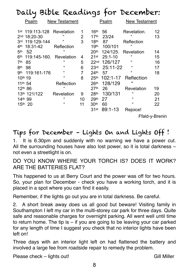|                                                                                                                                                                     | Daily Bible Readings for December:                                                                           |                              |                                                                                                                                                                      |                                                                               |                                                                                                               |                                  |
|---------------------------------------------------------------------------------------------------------------------------------------------------------------------|--------------------------------------------------------------------------------------------------------------|------------------------------|----------------------------------------------------------------------------------------------------------------------------------------------------------------------|-------------------------------------------------------------------------------|---------------------------------------------------------------------------------------------------------------|----------------------------------|
| Psalm                                                                                                                                                               | <b>New Testament</b>                                                                                         |                              |                                                                                                                                                                      | <u>Psalm</u>                                                                  | <b>New Testament</b>                                                                                          |                                  |
| 119:113-128<br>1st<br>18:20-30<br>2 <sub>nd</sub><br>119:129-144<br>3rd<br>4 <sup>th</sup><br>18:31-42<br>52<br>5 <sup>th</sup><br>6th<br>119:145-160.<br>7th<br>85 | Revelation<br>$\epsilon$<br>$\epsilon$<br>Reflection<br>$\epsilon$<br>Revelation<br>$\epsilon$               | 1<br>2<br>3<br>4<br>5        | 16 <sup>th</sup><br>17 <sup>th</sup><br>18 <sup>th</sup><br>19 <sup>th</sup><br>20 <sup>th</sup><br>21st<br>22 <sub>nd</sub>                                         | 56<br>23/24<br>87<br>100/101<br>124/125.<br>$25:1 - 10$<br>126/127            | Revelation.<br>$\mathbf{G}$<br>Reflection<br>$\epsilon$<br>Revelation<br>$\epsilon$<br>$\epsilon$             | 12<br>13<br>14<br>15<br>16       |
| <b>8th</b><br>98<br>119:161-176<br>gth<br>10 <sup>th</sup> 19<br>11th 54<br>12th 86<br>13th 121/122<br>14th 99<br>15th 20                                           | $\epsilon$<br>$\epsilon$<br>$\epsilon$<br>Reflection<br>$\epsilon$<br>Revelation<br>$\epsilon$<br>$\epsilon$ | 6<br>7<br>8<br>9<br>10<br>11 | 23 <sup>rd</sup><br>24 <sup>th</sup><br>25 <sup>th</sup><br>26 <sup>th</sup><br>27 <sup>th</sup><br>28 <sup>th</sup><br>29 <sup>th</sup><br>30 <sup>th</sup><br>31st | 25:11-22<br>57<br>102:1-17<br>128/129<br>26<br>130/131<br>27<br>60<br>89:1-13 | $\alpha$<br>$\epsilon$<br>Reflection<br>"<br>Revelation<br>$\epsilon$<br>$\epsilon$<br>$\epsilon$<br>Rejoice! | 17<br>18<br>19<br>20<br>21<br>22 |

Ffald-y-Brenin

### Tips for December – Lights On and Lights Off !

1. It is 6.30pm and suddenly with no warning we have a power cut. All the surrounding houses have also lost power, so it is total darkness – not even a streetlight is on.

DO YOU KNOW WHERE YOUR TORCH IS? DOES IT WORK? ARE THE BATTERIES FLAT?

This happened to us at Berry Court and the power was off for two hours. So, your plan for December - check you have a working torch, and it is placed in a spot where you can find it easily.

Remember, if the lights go out you are in total darkness. Be careful.

2. A short break away does us all good but beware! Visiting family in Southampton I left my car in the multi-storey car park for three days. Quite safe and reasonable charges for overnight parking. All went well until time to return home. The tip is  $-$  if you are going to be leaving your car parked for any length of time I suggest you check that no interior lights have been left on!

Three days with an interior light left on had flattened the battery and involved a large fee from roadside repair to remedy the problem.

Please check – lights out! Gill Miller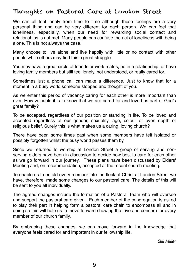#### Thoughts on Pastoral Care at London Street

We can all feel lonely from time to time although these feelings are a very personal thing and can be very different for each person. We can feel that loneliness, especially, when our need for rewarding social contact and relationships is not met. Many people can confuse the act of loneliness with being alone. This is not always the case.

Many choose to live alone and live happily with little or no contact with other people while others may find this a great struggle.

You may have a great circle of friends or work mates, be in a relationship, or have loving family members but still feel lonely, not understood, or really cared for.

Sometimes just a phone call can make a difference. Just to know that for a moment in a busy world someone stopped and thought of you.

As we enter this period of vacancy caring for each other is more important than ever. How valuable it is to know that we are cared for and loved as part of God's great family?

To be accepted, regardless of our position or standing in life. To be loved and accepted regardless of our gender, sexuality, age, colour or even depth of religious belief. Surely this is what makes us a caring, loving church?

There have been some times past when some members have felt isolated or possibly forgotten whilst the busy world passes them by.

Since we returned to worship at London Street a group of serving and nonserving elders have been in discussion to decide how best to care for each other as we go forward in our journey. These plans have been discussed by Elders' Meeting and, on recommendation, accepted at the recent church meeting.

To enable us to enfold every member into the flock of Christ at London Street we have, therefore, made some changes to our pastoral care. The details of this will be sent to you all individually.

The agreed changes include the formation of a Pastoral Team who will oversee and support the pastoral care given. Each member of the congregation is asked to play their part in helping form a pastoral care chain to encompass all and in doing so this will help us to move forward showing the love and concern for every member of our church family.

By embracing these changes, we can move forward in the knowledge that everyone feels cared for and important in our fellowship life.

*Gill Miller*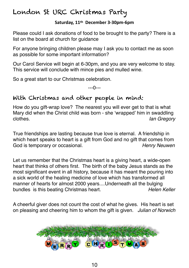### London St URC Christmas Party

#### **Saturday, 11th December 3-30pm-6pm**

Please could I ask donations of food to be brought to the party? There is a list on the board at church for guidance

For anyone bringing children please may I ask you to contact me as soon as possible for some important information?

Our Carol Service will begin at 6-30pm, and you are very welcome to stay. This service will conclude with mince pies and mulled wine.

So a great start to our Christmas celebration.

---0---

### With Christmas and other people in mind:

How do you gift-wrap love? The nearest you will ever get to that is what Mary did when the Christ child was born - she 'wrapped' him in swaddling clothes. *Ian Gregory* 

True friendships are lasting because true love is eternal. A friendship in which heart speaks to heart is a gift from God and no gift that comes from God is temporary or occasional. *Henry Neuwen* 

Let us remember that the Christmas heart is a giving heart, a wide-open heart that thinks of others first. The birth of the baby Jesus stands as the most significant event in all history, because it has meant the pouring into a sick world of the healing medicine of love which has transformed all manner of hearts for almost 2000 years....Underneath all the bulging bundles is this beating Christmas heart. *Helen Keller*

A cheerful giver does not count the cost of what he gives. His heart is set on pleasing and cheering him to whom the gift is given. *Julian of Norwich*

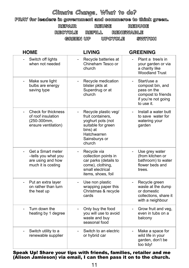### **Climate Change, What to do?**

PRAY for leaders in government and commerce to think green.

REPAIR REUSE REDUCE

RECYCLE REFILL RENEWABLE

GREEN UP UPCYCLE SWITCH

| <b>HOME</b>                                                                         | <b>LIVING</b>                                                                                                                                                          | <b>GREENING</b>                                                                                                                       |
|-------------------------------------------------------------------------------------|------------------------------------------------------------------------------------------------------------------------------------------------------------------------|---------------------------------------------------------------------------------------------------------------------------------------|
| Switch off lights<br>when not needed                                                | Recycle batteries at<br>$\overline{\phantom{0}}$<br>Chineham Tesco or<br>church                                                                                        | Plant a tree/s in<br>your garden or via<br>a charity like<br><b>Woodland Trust</b>                                                    |
| Make sure light<br>$\overline{\phantom{0}}$<br>bulbs are energy<br>saving type      | Recycle medication<br>blister pkts at<br>Superdrug or at<br>church                                                                                                     | Start/use a<br>$\overline{\phantom{a}}$<br>compost bin, and<br>pass on the<br>compost to friends<br>if you're not going<br>to use it. |
| Check for thickness<br>of roof insulation<br>(250-300mm,<br>ensure ventilation)     | Recycle plastic veg/<br>$\overline{\phantom{a}}$<br>fruit containers,<br>yoghurt pots (not<br>suitable for green<br>bins) at<br>Hatchwarren<br>Sainsburys or<br>church | Install a water butt<br>$\blacksquare$<br>to save water for<br>watering your<br>garden                                                |
| Get a Smart meter<br>-tells you what you<br>are using and how<br>much it is costing | Recycle via<br>$\overline{\phantom{0}}$<br>collection points in<br>car parks (details to<br>come), clothing,<br>small electrical<br>items, shoes, foil                 | Use grey water<br>(from kitchen or<br>bathroom) to water<br>flower beds and<br>trees.                                                 |
| Put an extra layer<br>on rather than turn<br>the heat up                            | Use non plastic<br>$\overline{a}$<br>wrapping paper this<br>Christmas & recycle<br>cards                                                                               | Recycle green<br>waste at the dump<br>or domestic<br>collections, share it<br>with a neighbour                                        |
| Turn down the<br>heating by 1 degree                                                | Only buy the food<br>$\overline{a}$<br>you will use to avoid<br>waste and buy<br>seasonal food                                                                         | Grow fruit and veg,<br>even in tubs on a<br>balcony                                                                                   |
| Switch utility to a<br>$\overline{\phantom{0}}$<br>renewable supplier               | Switch to an electric<br>$\overline{a}$<br>or hybrid car                                                                                                               | Make a space for<br>wild life in your<br>garden, don't be<br>too tidy!                                                                |

Speak Up! Share your tips with friends, families, retailer and me (Alison Jamieson) via email, I can then pass it on to the church.